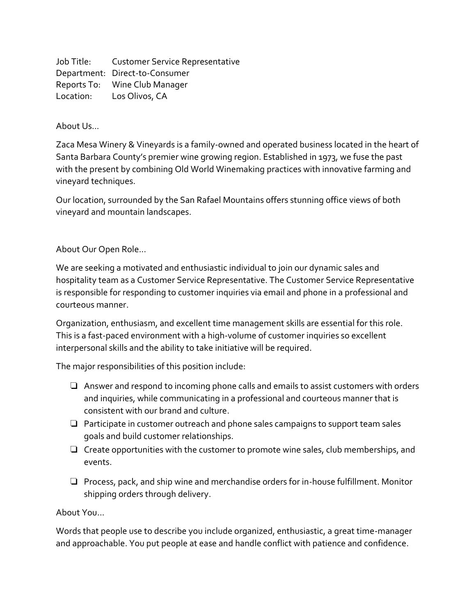Job Title: Customer Service Representative Department: Direct-to-Consumer Reports To: Wine Club Manager Location: Los Olivos, CA

About Us...

Zaca Mesa Winery & Vineyards is a family-owned and operated business located in the heart of Santa Barbara County's premier wine growing region. Established in 1973, we fuse the past with the present by combining Old World Winemaking practices with innovative farming and vineyard techniques.

Our location, surrounded by the San Rafael Mountains offers stunning office views of both vineyard and mountain landscapes.

About Our Open Role...

We are seeking a motivated and enthusiastic individual to join our dynamic sales and hospitality team as a Customer Service Representative. The Customer Service Representative is responsible for responding to customer inquiries via email and phone in a professional and courteous manner.

Organization, enthusiasm, and excellent time management skills are essential for this role. This is a fast-paced environment with a high-volume of customer inquiries so excellent interpersonal skills and the ability to take initiative will be required.

The major responsibilities of this position include:

- ❏ Answer and respond to incoming phone calls and emails to assist customers with orders and inquiries, while communicating in a professional and courteous manner that is consistent with our brand and culture.
- ❏ Participate in customer outreach and phone sales campaigns to support team sales goals and build customer relationships.
- ❏ Create opportunities with the customer to promote wine sales, club memberships, and events.
- ❏ Process, pack, and ship wine and merchandise orders for in-house fulfillment. Monitor shipping orders through delivery.

About You...

Words that people use to describe you include organized, enthusiastic, a great time-manager and approachable. You put people at ease and handle conflict with patience and confidence.